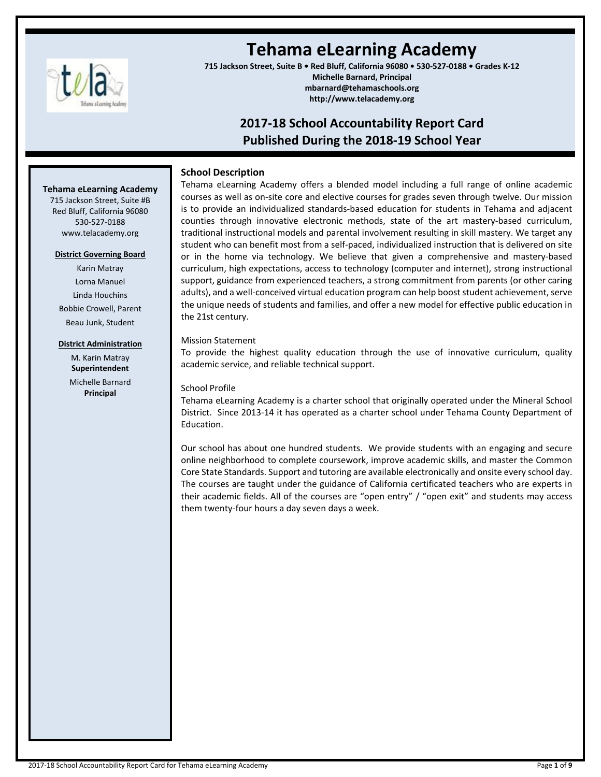

# **Tehama eLearning Academy**

**715 Jackson Street, Suite B • Red Bluff, California 96080 • 530-527-0188 • Grades K-12 Michelle Barnard, Principal mbarnard@tehamaschools.org http://www.telacademy.org**

## **2017-18 School Accountability Report Card Published During the 2018-19 School Year**

#### **School Description**

**Tehama eLearning Academy**

715 Jackson Street, Suite #B Red Bluff, California 96080 530-527-0188 www.telacademy.org

### **District Governing Board**

Karin Matray Lorna Manuel Linda Houchins Bobbie Crowell, Parent Beau Junk, Student

#### **District Administration**

M. Karin Matray **Superintendent** Michelle Barnard **Principal**

Tehama eLearning Academy offers a blended model including a full range of online academic courses as well as on-site core and elective courses for grades seven through twelve. Our mission is to provide an individualized standards-based education for students in Tehama and adjacent counties through innovative electronic methods, state of the art mastery-based curriculum, traditional instructional models and parental involvement resulting in skill mastery. We target any student who can benefit most from a self-paced, individualized instruction that is delivered on site or in the home via technology. We believe that given a comprehensive and mastery-based curriculum, high expectations, access to technology (computer and internet), strong instructional support, guidance from experienced teachers, a strong commitment from parents (or other caring adults), and a well-conceived virtual education program can help boost student achievement, serve the unique needs of students and families, and offer a new model for effective public education in the 21st century.

#### Mission Statement

To provide the highest quality education through the use of innovative curriculum, quality academic service, and reliable technical support.

#### School Profile

Tehama eLearning Academy is a charter school that originally operated under the Mineral School District. Since 2013-14 it has operated as a charter school under Tehama County Department of Education.

Our school has about one hundred students. We provide students with an engaging and secure online neighborhood to complete coursework, improve academic skills, and master the Common Core State Standards. Support and tutoring are available electronically and onsite every school day. The courses are taught under the guidance of California certificated teachers who are experts in their academic fields. All of the courses are "open entry" / "open exit" and students may access them twenty-four hours a day seven days a week.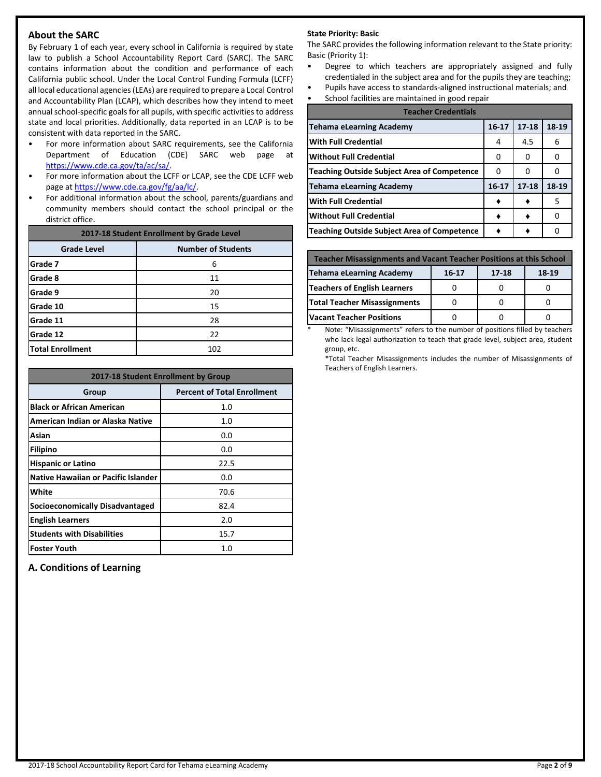#### **About the SARC**

By February 1 of each year, every school in California is required by state law to publish a School Accountability Report Card (SARC). The SARC contains information about the condition and performance of each California public school. Under the Local Control Funding Formula (LCFF) all local educational agencies(LEAs) are required to prepare a Local Control and Accountability Plan (LCAP), which describes how they intend to meet annual school-specific goals for all pupils, with specific activities to address state and local priorities. Additionally, data reported in an LCAP is to be consistent with data reported in the SARC.

- For more information about SARC requirements, see the California Department of Education (CDE) SARC web page at [https://www.cde.ca.gov/ta/ac/sa/.](https://www.cde.ca.gov/ta/ac/sa/)
- For more information about the LCFF or LCAP, see the CDE LCFF web page at [https://www.cde.ca.gov/fg/aa/lc/.](https://www.cde.ca.gov/fg/aa/lc/)
- For additional information about the school, parents/guardians and community members should contact the school principal or the district office.

| 2017-18 Student Enrollment by Grade Level |                           |  |  |
|-------------------------------------------|---------------------------|--|--|
| <b>Grade Level</b>                        | <b>Number of Students</b> |  |  |
| lGrade 7                                  | 6                         |  |  |
| <b>Grade 8</b>                            | 11                        |  |  |
| <b>Grade 9</b>                            | 20                        |  |  |
| Grade 10                                  | 15                        |  |  |
| Grade 11                                  | 28                        |  |  |
| lGrade 12                                 | 22                        |  |  |
| <b>Total Enrollment</b>                   | 102                       |  |  |

| 2017-18 Student Enrollment by Group |                                    |  |  |  |
|-------------------------------------|------------------------------------|--|--|--|
| Group                               | <b>Percent of Total Enrollment</b> |  |  |  |
| <b>Black or African American</b>    | 1.0                                |  |  |  |
| American Indian or Alaska Native    | 1.0                                |  |  |  |
| Asian                               | 0.0                                |  |  |  |
| <b>Filipino</b>                     | 0.0                                |  |  |  |
| <b>Hispanic or Latino</b>           | 22.5                               |  |  |  |
| Native Hawaiian or Pacific Islander | 0.0                                |  |  |  |
| White                               | 70.6                               |  |  |  |
| Socioeconomically Disadvantaged     | 82.4                               |  |  |  |
| <b>English Learners</b>             | 2.0                                |  |  |  |
| <b>Students with Disabilities</b>   | 15.7                               |  |  |  |
| <b>Foster Youth</b>                 | 1.0                                |  |  |  |

**A. Conditions of Learning**

#### **State Priority: Basic**

The SARC provides the following information relevant to the State priority: Basic (Priority 1):

- Degree to which teachers are appropriately assigned and fully credentialed in the subject area and for the pupils they are teaching;
- Pupils have access to standards-aligned instructional materials; and
- School facilities are maintained in good repair

| <b>Teacher Credentials</b>                         |           |           |       |  |  |  |
|----------------------------------------------------|-----------|-----------|-------|--|--|--|
| <b>Tehama eLearning Academy</b>                    | $16 - 17$ | $17 - 18$ | 18-19 |  |  |  |
| <b>With Full Credential</b>                        | 4         | 4.5       | 6     |  |  |  |
| <b>Without Full Credential</b>                     | 0         | 0         | O     |  |  |  |
| <b>Teaching Outside Subject Area of Competence</b> | 0         | 0         |       |  |  |  |
| <b>Tehama eLearning Academy</b>                    | 16-17     | $17 - 18$ | 18-19 |  |  |  |
| <b>With Full Credential</b>                        |           |           | 5     |  |  |  |
| <b>Without Full Credential</b>                     |           |           | 0     |  |  |  |
| <b>Teaching Outside Subject Area of Competence</b> |           |           | O     |  |  |  |

| <b>Teacher Misassignments and Vacant Teacher Positions at this School</b> |  |  |  |  |  |  |
|---------------------------------------------------------------------------|--|--|--|--|--|--|
| 18-19<br><b>Tehama eLearning Academy</b><br>$16 - 17$<br>17-18            |  |  |  |  |  |  |
| <b>Teachers of English Learners</b>                                       |  |  |  |  |  |  |
| <b>Total Teacher Misassignments</b>                                       |  |  |  |  |  |  |
| <b>Vacant Teacher Positions</b>                                           |  |  |  |  |  |  |

Note: "Misassignments" refers to the number of positions filled by teachers who lack legal authorization to teach that grade level, subject area, student group, etc.

\*Total Teacher Misassignments includes the number of Misassignments of Teachers of English Learners.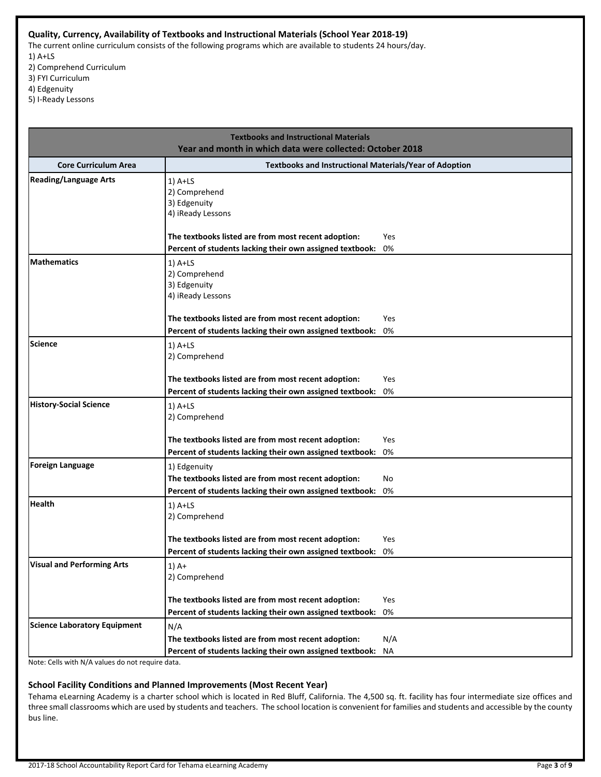#### **Quality, Currency, Availability of Textbooks and Instructional Materials (School Year 2018-19)**

The current online curriculum consists of the following programs which are available to students 24 hours/day. 1) A+LS

- 2) Comprehend Curriculum
- 3) FYI Curriculum
- 4) Edgenuity
- 5) I-Ready Lessons

| <b>Textbooks and Instructional Materials</b><br>Year and month in which data were collected: October 2018 |                                                                                                                                                                                                                                                                   |  |  |  |
|-----------------------------------------------------------------------------------------------------------|-------------------------------------------------------------------------------------------------------------------------------------------------------------------------------------------------------------------------------------------------------------------|--|--|--|
| <b>Core Curriculum Area</b>                                                                               | <b>Textbooks and Instructional Materials/Year of Adoption</b>                                                                                                                                                                                                     |  |  |  |
| <b>Reading/Language Arts</b>                                                                              | $1)$ A+LS<br>2) Comprehend<br>3) Edgenuity<br>4) iReady Lessons<br>The textbooks listed are from most recent adoption:<br>Yes                                                                                                                                     |  |  |  |
| <b>Mathematics</b>                                                                                        | Percent of students lacking their own assigned textbook:<br>0%<br>$1)$ A+LS<br>2) Comprehend<br>3) Edgenuity<br>4) iReady Lessons<br>The textbooks listed are from most recent adoption:<br>Yes<br>0%<br>Percent of students lacking their own assigned textbook: |  |  |  |
| <b>Science</b>                                                                                            | $1)$ A+LS<br>2) Comprehend<br>The textbooks listed are from most recent adoption:<br>Yes<br>0%<br>Percent of students lacking their own assigned textbook:                                                                                                        |  |  |  |
| <b>History-Social Science</b>                                                                             | $1)$ A+LS<br>2) Comprehend<br>The textbooks listed are from most recent adoption:<br>Yes<br>Percent of students lacking their own assigned textbook:<br>0%                                                                                                        |  |  |  |
| <b>Foreign Language</b>                                                                                   | 1) Edgenuity<br>The textbooks listed are from most recent adoption:<br>No<br>Percent of students lacking their own assigned textbook:<br>0%                                                                                                                       |  |  |  |
| <b>Health</b>                                                                                             | $1)$ A+LS<br>2) Comprehend<br>The textbooks listed are from most recent adoption:<br>Yes<br>Percent of students lacking their own assigned textbook:<br>0%                                                                                                        |  |  |  |
| <b>Visual and Performing Arts</b>                                                                         | $1)$ A+<br>2) Comprehend<br>The textbooks listed are from most recent adoption:<br>Yes<br>Percent of students lacking their own assigned textbook:<br>0%                                                                                                          |  |  |  |
| <b>Science Laboratory Equipment</b>                                                                       | N/A<br>The textbooks listed are from most recent adoption:<br>N/A<br>Percent of students lacking their own assigned textbook:<br>ΝA                                                                                                                               |  |  |  |

Note: Cells with N/A values do not require data.

#### **School Facility Conditions and Planned Improvements (Most Recent Year)**

Tehama eLearning Academy is a charter school which is located in Red Bluff, California. The 4,500 sq. ft. facility has four intermediate size offices and three small classrooms which are used by students and teachers. The school location is convenient for families and students and accessible by the county bus line.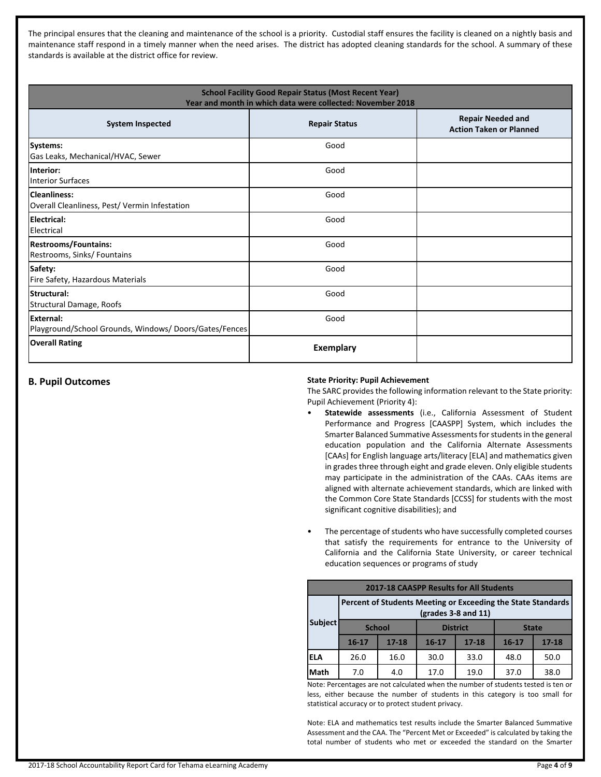The principal ensures that the cleaning and maintenance of the school is a priority. Custodial staff ensures the facility is cleaned on a nightly basis and maintenance staff respond in a timely manner when the need arises. The district has adopted cleaning standards for the school. A summary of these standards is available at the district office for review.

| <b>School Facility Good Repair Status (Most Recent Year)</b><br>Year and month in which data were collected: November 2018 |                      |                                                            |  |  |  |
|----------------------------------------------------------------------------------------------------------------------------|----------------------|------------------------------------------------------------|--|--|--|
| <b>System Inspected</b>                                                                                                    | <b>Repair Status</b> | <b>Repair Needed and</b><br><b>Action Taken or Planned</b> |  |  |  |
| Systems:<br>Gas Leaks, Mechanical/HVAC, Sewer                                                                              | Good                 |                                                            |  |  |  |
| Interior:<br>Interior Surfaces                                                                                             | Good                 |                                                            |  |  |  |
| Cleanliness:<br>Overall Cleanliness, Pest/ Vermin Infestation                                                              | Good                 |                                                            |  |  |  |
| Electrical:<br><b>Electrical</b>                                                                                           | Good                 |                                                            |  |  |  |
| <b>Restrooms/Fountains:</b><br>Restrooms, Sinks/ Fountains                                                                 | Good                 |                                                            |  |  |  |
| Safety:<br>Fire Safety, Hazardous Materials                                                                                | Good                 |                                                            |  |  |  |
| lStructural:<br>Structural Damage, Roofs                                                                                   | Good                 |                                                            |  |  |  |
| <b>IExternal:</b><br>Playground/School Grounds, Windows/Doors/Gates/Fences                                                 | Good                 |                                                            |  |  |  |
| <b>Overall Rating</b>                                                                                                      | <b>Exemplary</b>     |                                                            |  |  |  |

#### **B. Pupil Outcomes State Priority: Pupil Achievement**

The SARC provides the following information relevant to the State priority: Pupil Achievement (Priority 4):

- **Statewide assessments** (i.e., California Assessment of Student Performance and Progress [CAASPP] System, which includes the Smarter Balanced Summative Assessments for students in the general education population and the California Alternate Assessments [CAAs] for English language arts/literacy [ELA] and mathematics given in grades three through eight and grade eleven. Only eligible students may participate in the administration of the CAAs. CAAs items are aligned with alternate achievement standards, which are linked with the Common Core State Standards [CCSS] for students with the most significant cognitive disabilities); and
- The percentage of students who have successfully completed courses that satisfy the requirements for entrance to the University of California and the California State University, or career technical education sequences or programs of study

| <b>2017-18 CAASPP Results for All Students</b>                                        |               |           |                 |           |              |           |
|---------------------------------------------------------------------------------------|---------------|-----------|-----------------|-----------|--------------|-----------|
| Percent of Students Meeting or Exceeding the State Standards<br>$(grades 3-8 and 11)$ |               |           |                 |           |              |           |
| <b>Subject</b>                                                                        | <b>School</b> |           | <b>District</b> |           | <b>State</b> |           |
|                                                                                       | $16 - 17$     | $17 - 18$ | $16 - 17$       | $17 - 18$ | $16 - 17$    | $17 - 18$ |
| <b>ELA</b>                                                                            | 26.0          | 16.0      | 30.0            | 33.0      | 48.0         | 50.0      |
| <b>Math</b>                                                                           | 7.0           | 4.0       | 17.0            | 19.0      | 37.0         | 38.0      |

Note: Percentages are not calculated when the number of students tested is ten or less, either because the number of students in this category is too small for statistical accuracy or to protect student privacy.

Note: ELA and mathematics test results include the Smarter Balanced Summative Assessment and the CAA. The "Percent Met or Exceeded" is calculated by taking the total number of students who met or exceeded the standard on the Smarter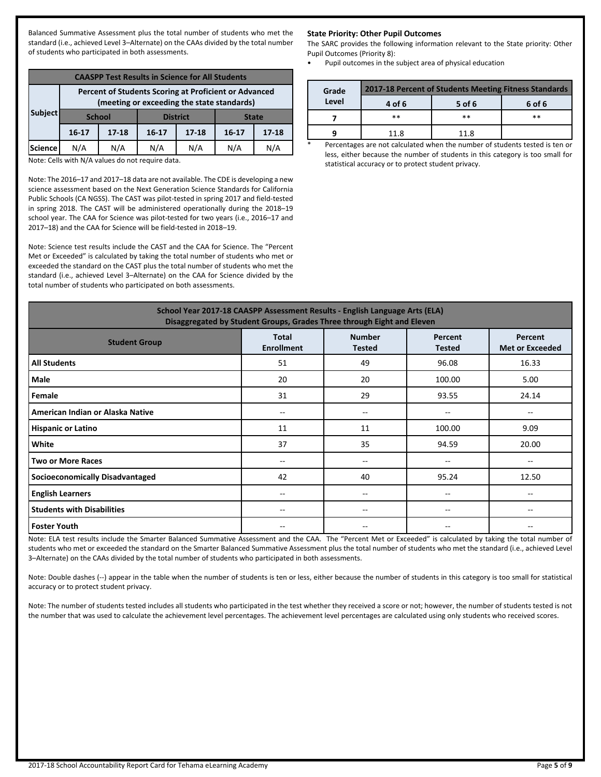Balanced Summative Assessment plus the total number of students who met the standard (i.e., achieved Level 3–Alternate) on the CAAs divided by the total number of students who participated in both assessments.

| <b>CAASPP Test Results in Science for All Students</b>                                              |           |                                                  |           |           |         |           |
|-----------------------------------------------------------------------------------------------------|-----------|--------------------------------------------------|-----------|-----------|---------|-----------|
| Percent of Students Scoring at Proficient or Advanced<br>(meeting or exceeding the state standards) |           |                                                  |           |           |         |           |
| Subject                                                                                             |           | <b>District</b><br><b>School</b><br><b>State</b> |           |           |         |           |
|                                                                                                     | $16 - 17$ | $17 - 18$                                        | $16 - 17$ | $17 - 18$ | $16-17$ | $17 - 18$ |
| <b>Science</b>                                                                                      | N/A       | N/A                                              | N/A       | N/A       | N/A     | N/A       |

Note: Cells with N/A values do not require data.

Note: The 2016–17 and 2017–18 data are not available. The CDE is developing a new science assessment based on the Next Generation Science Standards for California Public Schools (CA NGSS). The CAST was pilot-tested in spring 2017 and field-tested in spring 2018. The CAST will be administered operationally during the 2018–19 school year. The CAA for Science was pilot-tested for two years (i.e., 2016–17 and 2017–18) and the CAA for Science will be field-tested in 2018–19.

Note: Science test results include the CAST and the CAA for Science. The "Percent Met or Exceeded" is calculated by taking the total number of students who met or exceeded the standard on the CAST plus the total number of students who met the standard (i.e., achieved Level 3–Alternate) on the CAA for Science divided by the total number of students who participated on both assessments.

#### **State Priority: Other Pupil Outcomes**

The SARC provides the following information relevant to the State priority: Other Pupil Outcomes (Priority 8):

• Pupil outcomes in the subject area of physical education

| Grade | 2017-18 Percent of Students Meeting Fitness Standards |        |        |  |  |
|-------|-------------------------------------------------------|--------|--------|--|--|
| Level | 4 of 6                                                | 5 of 6 | 6 of 6 |  |  |
|       | $**$                                                  | $**$   | **     |  |  |
|       | 11.8                                                  | 11.8   |        |  |  |

Percentages are not calculated when the number of students tested is ten or less, either because the number of students in this category is too small for statistical accuracy or to protect student privacy.

| School Year 2017-18 CAASPP Assessment Results - English Language Arts (ELA)<br>Disaggregated by Student Groups, Grades Three through Eight and Eleven        |       |                   |        |                                       |  |  |
|--------------------------------------------------------------------------------------------------------------------------------------------------------------|-------|-------------------|--------|---------------------------------------|--|--|
| <b>Number</b><br><b>Total</b><br>Percent<br>Percent<br><b>Student Group</b><br><b>Enrollment</b><br><b>Met or Exceeded</b><br><b>Tested</b><br><b>Tested</b> |       |                   |        |                                       |  |  |
| <b>All Students</b>                                                                                                                                          | 51    | 49                | 96.08  | 16.33                                 |  |  |
| Male                                                                                                                                                         | 20    | 20                | 100.00 | 5.00                                  |  |  |
| Female                                                                                                                                                       | 31    | 29                | 93.55  | 24.14                                 |  |  |
| American Indian or Alaska Native                                                                                                                             | $-$   | --                | $- -$  | $\hspace{0.05cm}$ – $\hspace{0.05cm}$ |  |  |
| <b>Hispanic or Latino</b>                                                                                                                                    | 11    | 11                | 100.00 | 9.09                                  |  |  |
| White                                                                                                                                                        | 37    | 35                | 94.59  | 20.00                                 |  |  |
| <b>Two or More Races</b>                                                                                                                                     | --    | --                | --     | $\hspace{0.05cm}$ – $\hspace{0.05cm}$ |  |  |
| <b>Socioeconomically Disadvantaged</b>                                                                                                                       | 42    | 40                | 95.24  | 12.50                                 |  |  |
| <b>English Learners</b>                                                                                                                                      | $- -$ | --                | $- -$  | $\hspace{0.05cm}$ – $\hspace{0.05cm}$ |  |  |
| <b>Students with Disabilities</b>                                                                                                                            | $- -$ | $\qquad \qquad -$ | $- -$  | $- -$                                 |  |  |
| <b>Foster Youth</b>                                                                                                                                          | --    | --                |        | --                                    |  |  |

Note: ELA test results include the Smarter Balanced Summative Assessment and the CAA. The "Percent Met or Exceeded" is calculated by taking the total number of students who met or exceeded the standard on the Smarter Balanced Summative Assessment plus the total number of students who met the standard (i.e., achieved Level 3–Alternate) on the CAAs divided by the total number of students who participated in both assessments.

Note: Double dashes (--) appear in the table when the number of students is ten or less, either because the number of students in this category is too small for statistical accuracy or to protect student privacy.

Note: The number of students tested includes all students who participated in the test whether they received a score or not; however, the number of students tested is not the number that was used to calculate the achievement level percentages. The achievement level percentages are calculated using only students who received scores.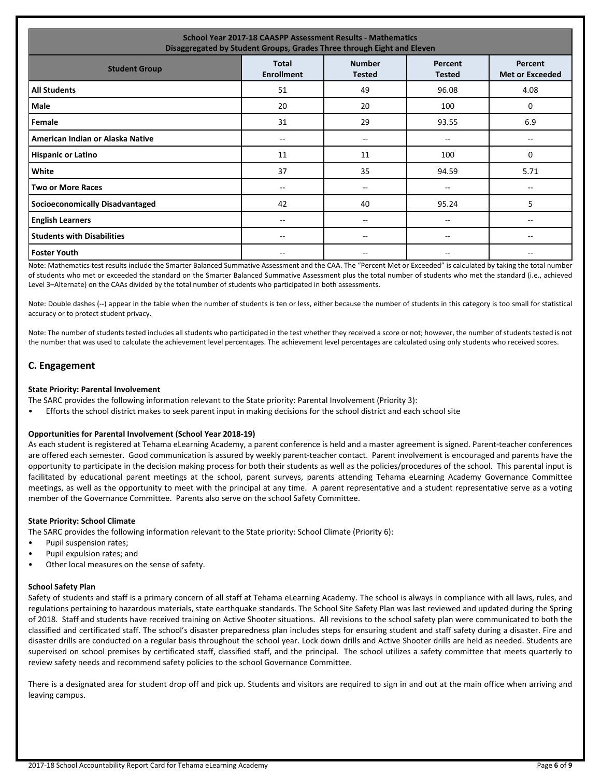| <b>School Year 2017-18 CAASPP Assessment Results - Mathematics</b><br>Disaggregated by Student Groups, Grades Three through Eight and Eleven                 |       |                   |       |      |  |  |
|--------------------------------------------------------------------------------------------------------------------------------------------------------------|-------|-------------------|-------|------|--|--|
| <b>Number</b><br><b>Total</b><br>Percent<br>Percent<br><b>Student Group</b><br><b>Enrollment</b><br><b>Met or Exceeded</b><br><b>Tested</b><br><b>Tested</b> |       |                   |       |      |  |  |
| <b>All Students</b>                                                                                                                                          | 51    | 49                | 96.08 | 4.08 |  |  |
| Male                                                                                                                                                         | 20    | 20                | 100   | 0    |  |  |
| Female                                                                                                                                                       | 31    | 29                | 93.55 | 6.9  |  |  |
| American Indian or Alaska Native                                                                                                                             | $- -$ | $\qquad \qquad -$ | --    |      |  |  |
| <b>Hispanic or Latino</b>                                                                                                                                    | 11    | 11                | 100   | 0    |  |  |
| White                                                                                                                                                        | 37    | 35                | 94.59 | 5.71 |  |  |
| <b>Two or More Races</b>                                                                                                                                     | $- -$ | $\qquad \qquad -$ | --    | $-$  |  |  |
| <b>Socioeconomically Disadvantaged</b>                                                                                                                       | 42    | 40                | 95.24 | 5    |  |  |
| <b>English Learners</b>                                                                                                                                      | --    | --                | --    |      |  |  |
| <b>Students with Disabilities</b>                                                                                                                            | $- -$ | $-$               | $- -$ | $-$  |  |  |
| <b>Foster Youth</b>                                                                                                                                          | --    | --                | --    |      |  |  |

Note: Mathematics test results include the Smarter Balanced Summative Assessment and the CAA. The "Percent Met or Exceeded" is calculated by taking the total number of students who met or exceeded the standard on the Smarter Balanced Summative Assessment plus the total number of students who met the standard (i.e., achieved Level 3–Alternate) on the CAAs divided by the total number of students who participated in both assessments.

Note: Double dashes (--) appear in the table when the number of students is ten or less, either because the number of students in this category is too small for statistical accuracy or to protect student privacy.

Note: The number of students tested includes all students who participated in the test whether they received a score or not; however, the number of students tested is not the number that was used to calculate the achievement level percentages. The achievement level percentages are calculated using only students who received scores.

#### **C. Engagement**

#### **State Priority: Parental Involvement**

- The SARC provides the following information relevant to the State priority: Parental Involvement (Priority 3):
- Efforts the school district makes to seek parent input in making decisions for the school district and each school site

#### **Opportunities for Parental Involvement (School Year 2018-19)**

As each student is registered at Tehama eLearning Academy, a parent conference is held and a master agreement is signed. Parent-teacher conferences are offered each semester. Good communication is assured by weekly parent-teacher contact. Parent involvement is encouraged and parents have the opportunity to participate in the decision making process for both their students as well as the policies/procedures of the school. This parental input is facilitated by educational parent meetings at the school, parent surveys, parents attending Tehama eLearning Academy Governance Committee meetings, as well as the opportunity to meet with the principal at any time. A parent representative and a student representative serve as a voting member of the Governance Committee. Parents also serve on the school Safety Committee.

#### **State Priority: School Climate**

The SARC provides the following information relevant to the State priority: School Climate (Priority 6):

- Pupil suspension rates;
- Pupil expulsion rates; and
- Other local measures on the sense of safety.

#### **School Safety Plan**

Safety of students and staff is a primary concern of all staff at Tehama eLearning Academy. The school is always in compliance with all laws, rules, and regulations pertaining to hazardous materials, state earthquake standards. The School Site Safety Plan was last reviewed and updated during the Spring of 2018. Staff and students have received training on Active Shooter situations. All revisions to the school safety plan were communicated to both the classified and certificated staff. The school's disaster preparedness plan includes steps for ensuring student and staff safety during a disaster. Fire and disaster drills are conducted on a regular basis throughout the school year. Lock down drills and Active Shooter drills are held as needed. Students are supervised on school premises by certificated staff, classified staff, and the principal. The school utilizes a safety committee that meets quarterly to review safety needs and recommend safety policies to the school Governance Committee.

There is a designated area for student drop off and pick up. Students and visitors are required to sign in and out at the main office when arriving and leaving campus.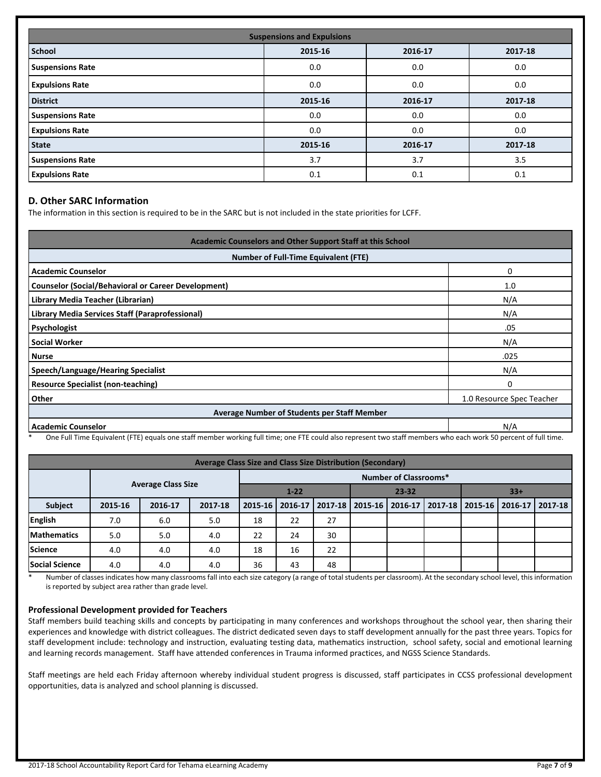| <b>Suspensions and Expulsions</b> |                               |         |         |  |  |  |
|-----------------------------------|-------------------------------|---------|---------|--|--|--|
| <b>School</b>                     | 2015-16<br>2016-17<br>2017-18 |         |         |  |  |  |
| <b>Suspensions Rate</b>           | 0.0                           | 0.0     | 0.0     |  |  |  |
| <b>Expulsions Rate</b>            | 0.0                           | 0.0     | 0.0     |  |  |  |
| <b>District</b>                   | 2015-16                       | 2016-17 | 2017-18 |  |  |  |
| <b>Suspensions Rate</b>           | 0.0                           | 0.0     | 0.0     |  |  |  |
| <b>Expulsions Rate</b>            | 0.0                           | 0.0     | 0.0     |  |  |  |
| <b>State</b>                      | 2015-16                       | 2016-17 | 2017-18 |  |  |  |
| <b>Suspensions Rate</b>           | 3.7                           | 3.7     | 3.5     |  |  |  |
| <b>Expulsions Rate</b>            | 0.1                           | 0.1     | 0.1     |  |  |  |

#### **D. Other SARC Information**

The information in this section is required to be in the SARC but is not included in the state priorities for LCFF.

| Academic Counselors and Other Support Staff at this School |                           |  |  |  |
|------------------------------------------------------------|---------------------------|--|--|--|
| <b>Number of Full-Time Equivalent (FTE)</b>                |                           |  |  |  |
| <b>Academic Counselor</b>                                  | 0                         |  |  |  |
| <b>Counselor (Social/Behavioral or Career Development)</b> | 1.0                       |  |  |  |
| Library Media Teacher (Librarian)                          | N/A                       |  |  |  |
| Library Media Services Staff (Paraprofessional)            | N/A                       |  |  |  |
| Psychologist                                               | .05                       |  |  |  |
| <b>Social Worker</b>                                       | N/A                       |  |  |  |
| <b>Nurse</b>                                               | .025                      |  |  |  |
| <b>Speech/Language/Hearing Specialist</b>                  | N/A                       |  |  |  |
| <b>Resource Specialist (non-teaching)</b>                  | $\Omega$                  |  |  |  |
| Other                                                      | 1.0 Resource Spec Teacher |  |  |  |
| Average Number of Students per Staff Member                |                           |  |  |  |
| <b>Academic Counselor</b>                                  | N/A                       |  |  |  |

One Full Time Equivalent (FTE) equals one staff member working full time; one FTE could also represent two staff members who each work 50 percent of full time.

| Average Class Size and Class Size Distribution (Secondary) |         |                           |         |                              |         |         |         |         |                   |  |                   |
|------------------------------------------------------------|---------|---------------------------|---------|------------------------------|---------|---------|---------|---------|-------------------|--|-------------------|
|                                                            |         |                           |         | <b>Number of Classrooms*</b> |         |         |         |         |                   |  |                   |
|                                                            |         | <b>Average Class Size</b> |         | $1 - 22$<br>$23 - 32$        |         |         | $33+$   |         |                   |  |                   |
| <b>Subject</b>                                             | 2015-16 | 2016-17                   | 2017-18 | 2015-16                      | 2016-17 | 2017-18 | 2015-16 | 2016-17 | 2017-18   2015-16 |  | 2016-17   2017-18 |
| English                                                    | 7.0     | 6.0                       | 5.0     | 18                           | 22      | 27      |         |         |                   |  |                   |
| <b>IMathematics</b>                                        | 5.0     | 5.0                       | 4.0     | 22                           | 24      | 30      |         |         |                   |  |                   |
| <b>Science</b>                                             | 4.0     | 4.0                       | 4.0     | 18                           | 16      | 22      |         |         |                   |  |                   |
| <b>Social Science</b>                                      | 4.0     | 4.0                       | 4.0     | 36                           | 43      | 48      |         |         |                   |  |                   |

\* Number of classes indicates how many classrooms fall into each size category (a range of total students per classroom). At the secondary school level, this information is reported by subject area rather than grade level.

#### **Professional Development provided for Teachers**

Staff members build teaching skills and concepts by participating in many conferences and workshops throughout the school year, then sharing their experiences and knowledge with district colleagues. The district dedicated seven days to staff development annually for the past three years. Topics for staff development include: technology and instruction, evaluating testing data, mathematics instruction, school safety, social and emotional learning and learning records management. Staff have attended conferences in Trauma informed practices, and NGSS Science Standards.

Staff meetings are held each Friday afternoon whereby individual student progress is discussed, staff participates in CCSS professional development opportunities, data is analyzed and school planning is discussed.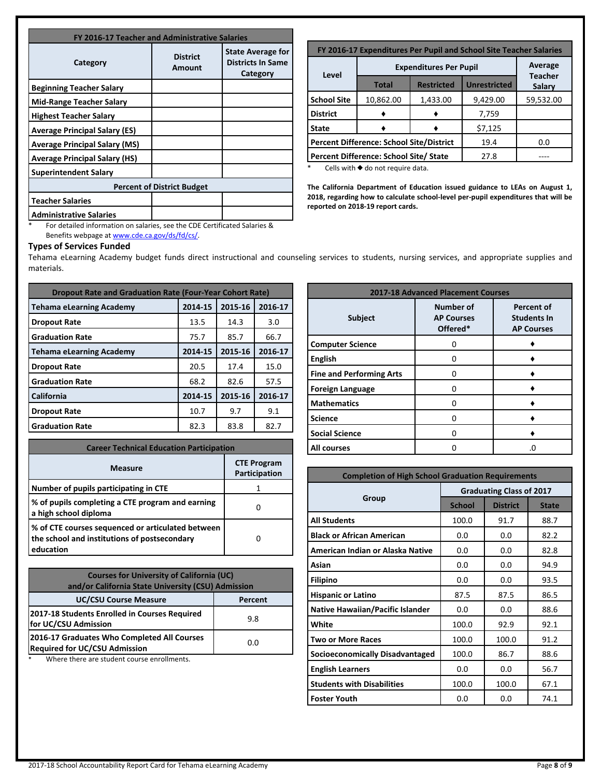| FY 2016-17 Teacher and Administrative Salaries |                           |                                                                  |  |  |
|------------------------------------------------|---------------------------|------------------------------------------------------------------|--|--|
| Category                                       | <b>District</b><br>Amount | <b>State Average for</b><br><b>Districts In Same</b><br>Category |  |  |
| <b>Beginning Teacher Salary</b>                |                           |                                                                  |  |  |
| <b>Mid-Range Teacher Salary</b>                |                           |                                                                  |  |  |
| <b>Highest Teacher Salary</b>                  |                           |                                                                  |  |  |
| <b>Average Principal Salary (ES)</b>           |                           |                                                                  |  |  |
| <b>Average Principal Salary (MS)</b>           |                           |                                                                  |  |  |
| <b>Average Principal Salary (HS)</b>           |                           |                                                                  |  |  |
| <b>Superintendent Salary</b>                   |                           |                                                                  |  |  |
| <b>Percent of District Budget</b>              |                           |                                                                  |  |  |
| <b>Teacher Salaries</b>                        |                           |                                                                  |  |  |
| <b>Administrative Salaries</b>                 |                           |                                                                  |  |  |

| FY 2016-17 Expenditures Per Pupil and School Site Teacher Salaries |                                                                   |          |          |           |  |  |
|--------------------------------------------------------------------|-------------------------------------------------------------------|----------|----------|-----------|--|--|
|                                                                    | Average<br><b>Teacher</b>                                         |          |          |           |  |  |
|                                                                    | Level<br><b>Unrestricted</b><br><b>Restricted</b><br><b>Total</b> |          |          |           |  |  |
| <b>School Site</b>                                                 | 10,862.00                                                         | 1,433.00 | 9,429.00 | 59,532.00 |  |  |
| <b>District</b>                                                    |                                                                   |          | 7,759    |           |  |  |
| <b>State</b>                                                       | \$7,125                                                           |          |          |           |  |  |
| <b>Percent Difference: School Site/District</b><br>19.4<br>0.0     |                                                                   |          |          |           |  |  |
| Percent Difference: School Site/ State<br>27.8                     |                                                                   |          |          |           |  |  |
| *<br>Colle with A do not roquiro data                              |                                                                   |          |          |           |  |  |

Cells with  $\blacklozenge$  do not require data.

**The California Department of Education issued guidance to LEAs on August 1, 2018, regarding how to calculate school-level per-pupil expenditures that will be reported on 2018-19 report cards.**

\* For detailed information on salaries, see the CDE Certificated Salaries & Benefits webpage at [www.cde.ca.gov/ds/fd/cs/](http://www.cde.ca.gov/ds/fd/cs/).

#### **Types of Services Funded**

Tehama eLearning Academy budget funds direct instructional and counseling services to students, nursing services, and appropriate supplies and materials.

| <b>Dropout Rate and Graduation Rate (Four-Year Cohort Rate)</b> |         |         |         |  |  |
|-----------------------------------------------------------------|---------|---------|---------|--|--|
| <b>Tehama eLearning Academy</b>                                 | 2014-15 | 2015-16 | 2016-17 |  |  |
| <b>Dropout Rate</b>                                             | 13.5    | 14.3    | 3.0     |  |  |
| <b>Graduation Rate</b>                                          | 75.7    | 85.7    | 66.7    |  |  |
| <b>Tehama eLearning Academy</b>                                 | 2014-15 | 2015-16 | 2016-17 |  |  |
| <b>Dropout Rate</b>                                             | 20.5    | 17.4    | 15.0    |  |  |
| <b>Graduation Rate</b>                                          | 68.2    | 82.6    | 57.5    |  |  |
| California                                                      | 2014-15 | 2015-16 | 2016-17 |  |  |
| <b>Dropout Rate</b>                                             | 10.7    | 9.7     | 9.1     |  |  |
| <b>Graduation Rate</b>                                          | 82.3    | 83.8    | 82.7    |  |  |

| <b>Career Technical Education Participation</b>                                                                |                                     |  |  |  |
|----------------------------------------------------------------------------------------------------------------|-------------------------------------|--|--|--|
| <b>Measure</b>                                                                                                 | <b>CTE Program</b><br>Participation |  |  |  |
| Number of pupils participating in CTE                                                                          |                                     |  |  |  |
| % of pupils completing a CTE program and earning<br>a high school diploma                                      |                                     |  |  |  |
| % of CTE courses sequenced or articulated between<br>the school and institutions of postsecondary<br>education |                                     |  |  |  |

| <b>Courses for University of California (UC)</b><br>and/or California State University (CSU) Admission |         |  |  |  |
|--------------------------------------------------------------------------------------------------------|---------|--|--|--|
| <b>UC/CSU Course Measure</b>                                                                           | Percent |  |  |  |
| 2017-18 Students Enrolled in Courses Required<br>for UC/CSU Admission                                  | 9.8     |  |  |  |
| 2016-17 Graduates Who Completed All Courses<br><b>Required for UC/CSU Admission</b>                    | 0.0     |  |  |  |

\* Where there are student course enrollments.

| <b>2017-18 Advanced Placement Courses</b> |                                                   |                                                              |  |  |  |
|-------------------------------------------|---------------------------------------------------|--------------------------------------------------------------|--|--|--|
| <b>Subject</b>                            | <b>Number of</b><br><b>AP Courses</b><br>Offered* | <b>Percent of</b><br><b>Students In</b><br><b>AP Courses</b> |  |  |  |
| <b>Computer Science</b>                   | O                                                 |                                                              |  |  |  |
| <b>English</b>                            | O                                                 |                                                              |  |  |  |
| <b>Fine and Performing Arts</b>           | O                                                 |                                                              |  |  |  |
| <b>Foreign Language</b>                   | ŋ                                                 |                                                              |  |  |  |
| <b>Mathematics</b>                        | n                                                 |                                                              |  |  |  |
| <b>Science</b>                            | n                                                 |                                                              |  |  |  |
| <b>Social Science</b>                     | O                                                 |                                                              |  |  |  |
| <b>All courses</b>                        |                                                   | .0                                                           |  |  |  |

| <b>Completion of High School Graduation Requirements</b> |                                 |                 |              |  |  |
|----------------------------------------------------------|---------------------------------|-----------------|--------------|--|--|
|                                                          | <b>Graduating Class of 2017</b> |                 |              |  |  |
| Group                                                    | <b>School</b>                   | <b>District</b> | <b>State</b> |  |  |
| <b>All Students</b>                                      | 100.0                           | 91.7            | 88.7         |  |  |
| <b>Black or African American</b>                         | 0.0                             | 0.0             | 82.2         |  |  |
| American Indian or Alaska Native                         | 0.0                             | 0.0             | 82.8         |  |  |
| Asian                                                    | 0.0                             | 0.0             | 94.9         |  |  |
| <b>Filipino</b>                                          | 0.0                             | 0.0             | 93.5         |  |  |
| <b>Hispanic or Latino</b>                                | 87.5                            | 87.5            | 86.5         |  |  |
| <b>Native Hawaiian/Pacific Islander</b>                  | 0.0                             | 0.0             | 88.6         |  |  |
| White                                                    | 100.0                           | 92.9            | 92.1         |  |  |
| <b>Two or More Races</b>                                 | 100.0                           | 100.0           | 91.2         |  |  |
| Socioeconomically Disadvantaged                          | 100.0                           | 86.7            | 88.6         |  |  |
| <b>English Learners</b>                                  | 0.0                             | 0.0             | 56.7         |  |  |
| <b>Students with Disabilities</b>                        | 100.0                           | 100.0           | 67.1         |  |  |
| <b>Foster Youth</b>                                      | 0.0                             | 0.0             | 74.1         |  |  |